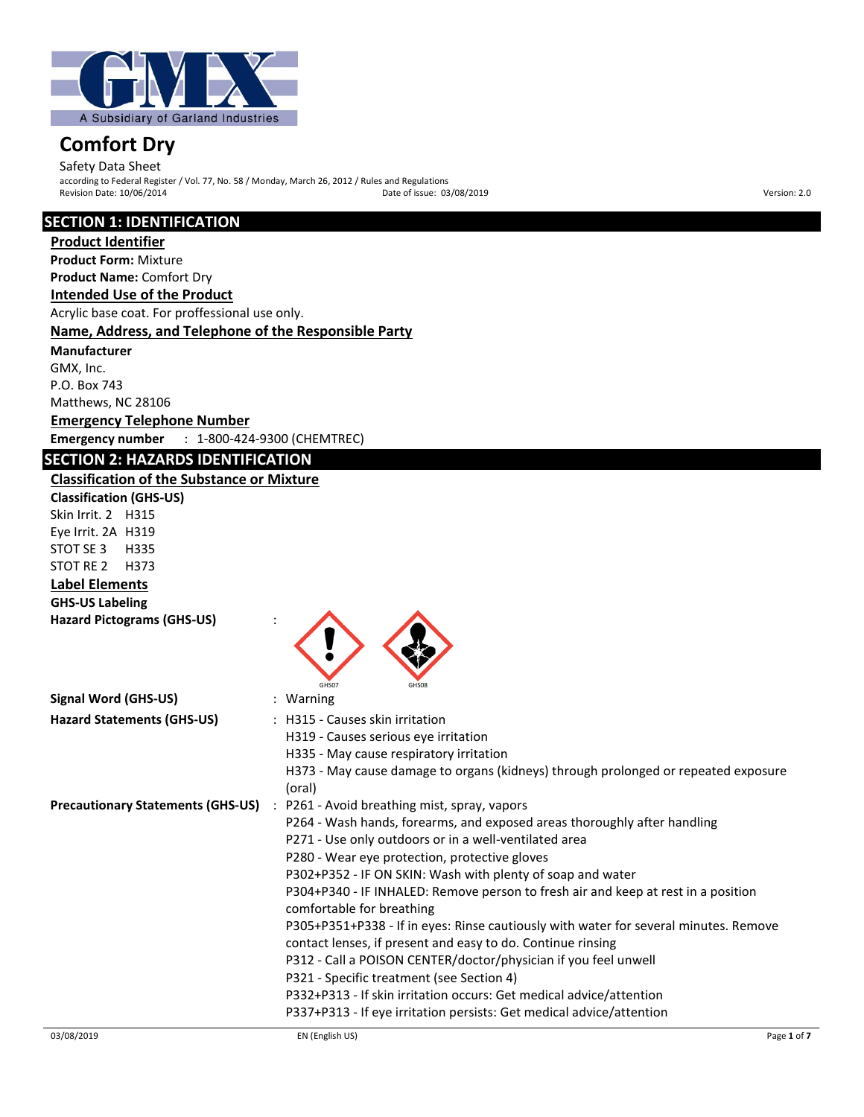

Safety Data Sheet according to Federal Register / Vol. 77, No. 58 / Monday, March 26, 2012 / Rules and Regulations Revision Date: 10/06/2014 Date of issue: 03/08/2019 Version: 2.0

# **SECTION 1: IDENTIFICATION**

**Product Identifier Product Form:** Mixture **Product Name:** Comfort Dry **Intended Use of the Product** Acrylic base coat. For proffessional use only. **Name, Address, and Telephone of the Responsible Party Manufacturer**  GMX, Inc.

P.O. Box 743 Matthews, NC 28106 **Emergency Telephone Number Emergency number** : 1-800-424-9300 (CHEMTREC)

# 03/08/2019 EN (English US) Page **1** of **7 SECTION 2: HAZARDS IDENTIFICATION Classification of the Substance or Mixture Classification (GHS-US)** Skin Irrit. 2 H315 Eye Irrit. 2A H319 STOT SE 3 H335 STOT RE 2 H373 **Label Elements GHS-US Labeling Hazard Pictograms (GHS-US)** : GHS07 GHS08 **Signal Word (GHS-US)** : Warning **Hazard Statements (GHS-US)** : H315 - Causes skin irritation H319 - Causes serious eye irritation H335 - May cause respiratory irritation H373 - May cause damage to organs (kidneys) through prolonged or repeated exposure (oral) **Precautionary Statements (GHS-US)** : P261 - Avoid breathing mist, spray, vapors P264 - Wash hands, forearms, and exposed areas thoroughly after handling P271 - Use only outdoors or in a well-ventilated area P280 - Wear eye protection, protective gloves P302+P352 - IF ON SKIN: Wash with plenty of soap and water P304+P340 - IF INHALED: Remove person to fresh air and keep at rest in a position comfortable for breathing P305+P351+P338 - If in eyes: Rinse cautiously with water for several minutes. Remove contact lenses, if present and easy to do. Continue rinsing P312 - Call a POISON CENTER/doctor/physician if you feel unwell P321 - Specific treatment (see Section 4) P332+P313 - If skin irritation occurs: Get medical advice/attention P337+P313 - If eye irritation persists: Get medical advice/attention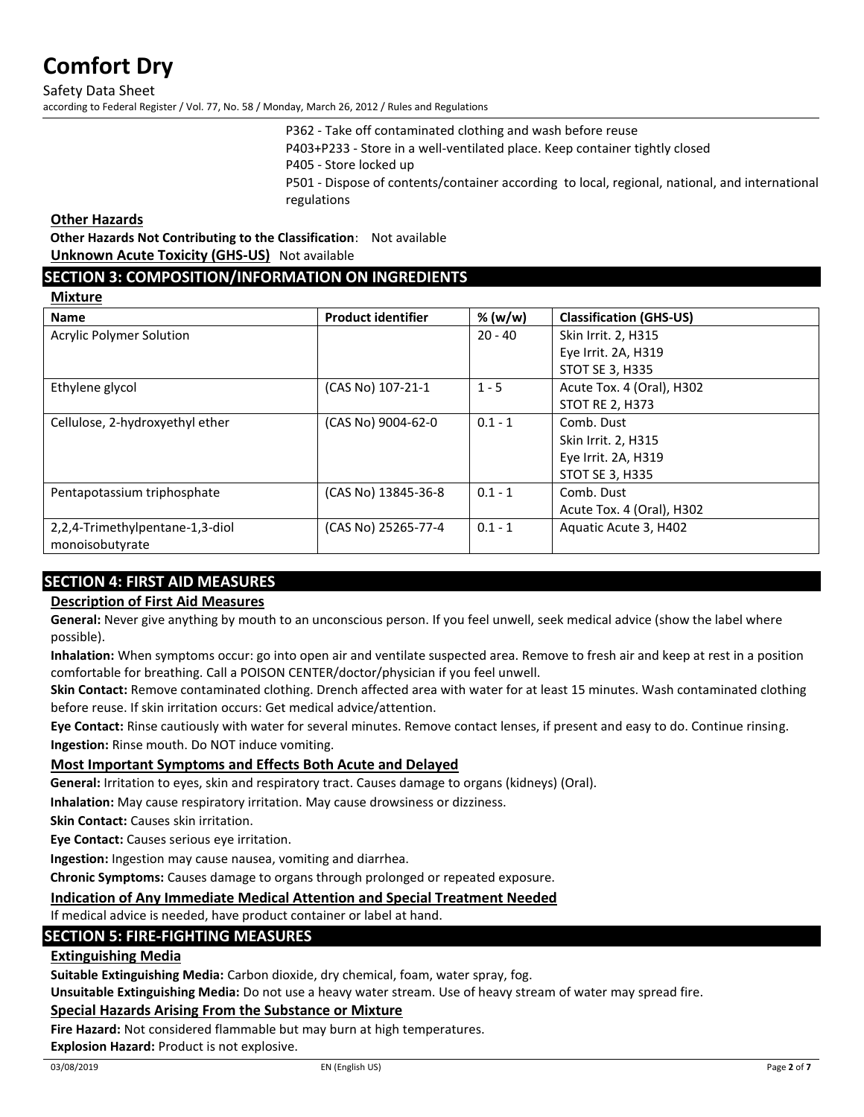Safety Data Sheet according to Federal Register / Vol. 77, No. 58 / Monday, March 26, 2012 / Rules and Regulations

> P362 - Take off contaminated clothing and wash before reuse P403+P233 - Store in a well-ventilated place. Keep container tightly closed P405 - Store locked up P501 - Dispose of contents/container according to local, regional, national, and international regulations

#### **Other Hazards**

**Other Hazards Not Contributing to the Classification**: Not available **Unknown Acute Toxicity (GHS-US)** Not available

#### **SECTION 3: COMPOSITION/INFORMATION ON INGREDIENTS**

**Mixture**

| <b>Name</b>                     | <b>Product identifier</b> | % (w/w)   | <b>Classification (GHS-US)</b> |
|---------------------------------|---------------------------|-----------|--------------------------------|
| Acrylic Polymer Solution        |                           | $20 - 40$ | Skin Irrit. 2, H315            |
|                                 |                           |           | Eye Irrit. 2A, H319            |
|                                 |                           |           | <b>STOT SE 3, H335</b>         |
| Ethylene glycol                 | (CAS No) 107-21-1         | $1 - 5$   | Acute Tox. 4 (Oral), H302      |
|                                 |                           |           | <b>STOT RE 2, H373</b>         |
| Cellulose, 2-hydroxyethyl ether | (CAS No) 9004-62-0        | $0.1 - 1$ | Comb. Dust                     |
|                                 |                           |           | Skin Irrit. 2, H315            |
|                                 |                           |           | Eye Irrit. 2A, H319            |
|                                 |                           |           | <b>STOT SE 3, H335</b>         |
| Pentapotassium triphosphate     | (CAS No) 13845-36-8       | $0.1 - 1$ | Comb. Dust                     |
|                                 |                           |           | Acute Tox. 4 (Oral), H302      |
| 2,2,4-Trimethylpentane-1,3-diol | (CAS No) 25265-77-4       | $0.1 - 1$ | Aquatic Acute 3, H402          |
| monoisobutyrate                 |                           |           |                                |
|                                 |                           |           |                                |

# **SECTION 4: FIRST AID MEASURES**

# **Description of First Aid Measures**

**General:** Never give anything by mouth to an unconscious person. If you feel unwell, seek medical advice (show the label where possible).

**Inhalation:** When symptoms occur: go into open air and ventilate suspected area. Remove to fresh air and keep at rest in a position comfortable for breathing. Call a POISON CENTER/doctor/physician if you feel unwell.

**Skin Contact:** Remove contaminated clothing. Drench affected area with water for at least 15 minutes. Wash contaminated clothing before reuse. If skin irritation occurs: Get medical advice/attention.

**Eye Contact:** Rinse cautiously with water for several minutes. Remove contact lenses, if present and easy to do. Continue rinsing. **Ingestion:** Rinse mouth. Do NOT induce vomiting.

#### **Most Important Symptoms and Effects Both Acute and Delayed**

**General:** Irritation to eyes, skin and respiratory tract. Causes damage to organs (kidneys) (Oral).

**Inhalation:** May cause respiratory irritation. May cause drowsiness or dizziness.

**Skin Contact:** Causes skin irritation.

**Eye Contact:** Causes serious eye irritation.

**Ingestion:** Ingestion may cause nausea, vomiting and diarrhea.

**Chronic Symptoms:** Causes damage to organs through prolonged or repeated exposure.

#### **Indication of Any Immediate Medical Attention and Special Treatment Needed**

If medical advice is needed, have product container or label at hand.

### **SECTION 5: FIRE-FIGHTING MEASURES**

### **Extinguishing Media**

**Suitable Extinguishing Media:** Carbon dioxide, dry chemical, foam, water spray, fog.

**Unsuitable Extinguishing Media:** Do not use a heavy water stream. Use of heavy stream of water may spread fire.

#### **Special Hazards Arising From the Substance or Mixture**

**Fire Hazard:** Not considered flammable but may burn at high temperatures.

**Explosion Hazard:** Product is not explosive.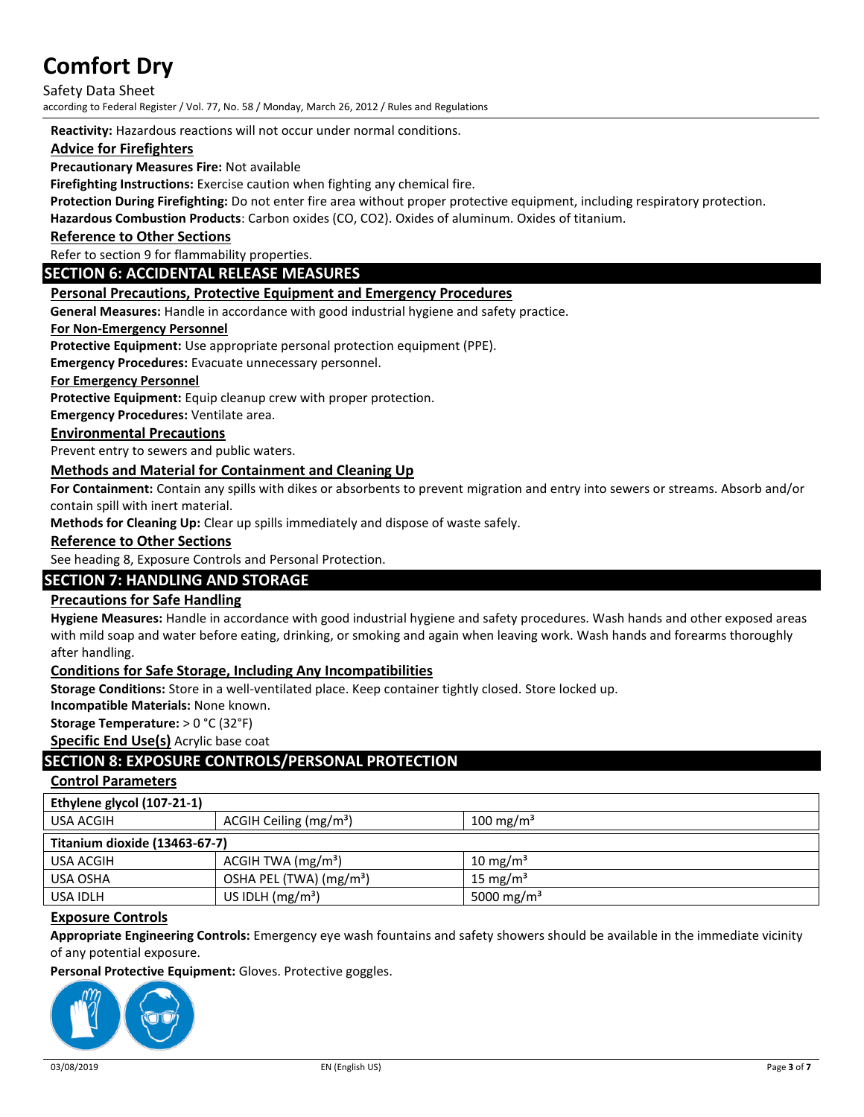Safety Data Sheet according to Federal Register / Vol. 77, No. 58 / Monday, March 26, 2012 / Rules and Regulations

**Reactivity:** Hazardous reactions will not occur under normal conditions.

### **Advice for Firefighters**

**Precautionary Measures Fire:** Not available

**Firefighting Instructions:** Exercise caution when fighting any chemical fire.

**Protection During Firefighting:** Do not enter fire area without proper protective equipment, including respiratory protection.

**Hazardous Combustion Products**: Carbon oxides (CO, CO2). Oxides of aluminum. Oxides of titanium.

**Reference to Other Sections**

Refer to section 9 for flammability properties.

#### **SECTION 6: ACCIDENTAL RELEASE MEASURES**

#### **Personal Precautions, Protective Equipment and Emergency Procedures**

**General Measures:** Handle in accordance with good industrial hygiene and safety practice.

#### **For Non-Emergency Personnel**

**Protective Equipment:** Use appropriate personal protection equipment (PPE).

**Emergency Procedures:** Evacuate unnecessary personnel.

#### **For Emergency Personnel**

**Protective Equipment:** Equip cleanup crew with proper protection.

**Emergency Procedures:** Ventilate area.

#### **Environmental Precautions**

Prevent entry to sewers and public waters.

#### **Methods and Material for Containment and Cleaning Up**

**For Containment:** Contain any spills with dikes or absorbents to prevent migration and entry into sewers or streams. Absorb and/or contain spill with inert material.

**Methods for Cleaning Up:** Clear up spills immediately and dispose of waste safely.

#### **Reference to Other Sections**

See heading 8, Exposure Controls and Personal Protection.

#### **SECTION 7: HANDLING AND STORAGE**

#### **Precautions for Safe Handling**

**Hygiene Measures:** Handle in accordance with good industrial hygiene and safety procedures. Wash hands and other exposed areas with mild soap and water before eating, drinking, or smoking and again when leaving work. Wash hands and forearms thoroughly after handling.

#### **Conditions for Safe Storage, Including Any Incompatibilities**

**Storage Conditions:** Store in a well-ventilated place. Keep container tightly closed. Store locked up.

**Incompatible Materials:** None known.

**Storage Temperature:** > 0 °C (32°F)

**Specific End Use(s)** Acrylic base coat

### **SECTION 8: EXPOSURE CONTROLS/PERSONAL PROTECTION**

## **Control Parameters**

| Ethylene glycol (107-21-1)    |                                     |                        |  |  |
|-------------------------------|-------------------------------------|------------------------|--|--|
| USA ACGIH                     | ACGIH Ceiling (mg/m <sup>3</sup> )  | 100 mg/m <sup>3</sup>  |  |  |
| Titanium dioxide (13463-67-7) |                                     |                        |  |  |
| USA ACGIH                     | $ACGIH TWA$ (mg/m <sup>3</sup> )    | 10 mg/m <sup>3</sup>   |  |  |
| USA OSHA                      | OSHA PEL (TWA) (mg/m <sup>3</sup> ) | 15 mg/m <sup>3</sup>   |  |  |
| USA IDLH                      | US IDLH $(mg/m3)$                   | 5000 mg/m <sup>3</sup> |  |  |

#### **Exposure Controls**

**Appropriate Engineering Controls:** Emergency eye wash fountains and safety showers should be available in the immediate vicinity of any potential exposure.

**Personal Protective Equipment:** Gloves. Protective goggles.

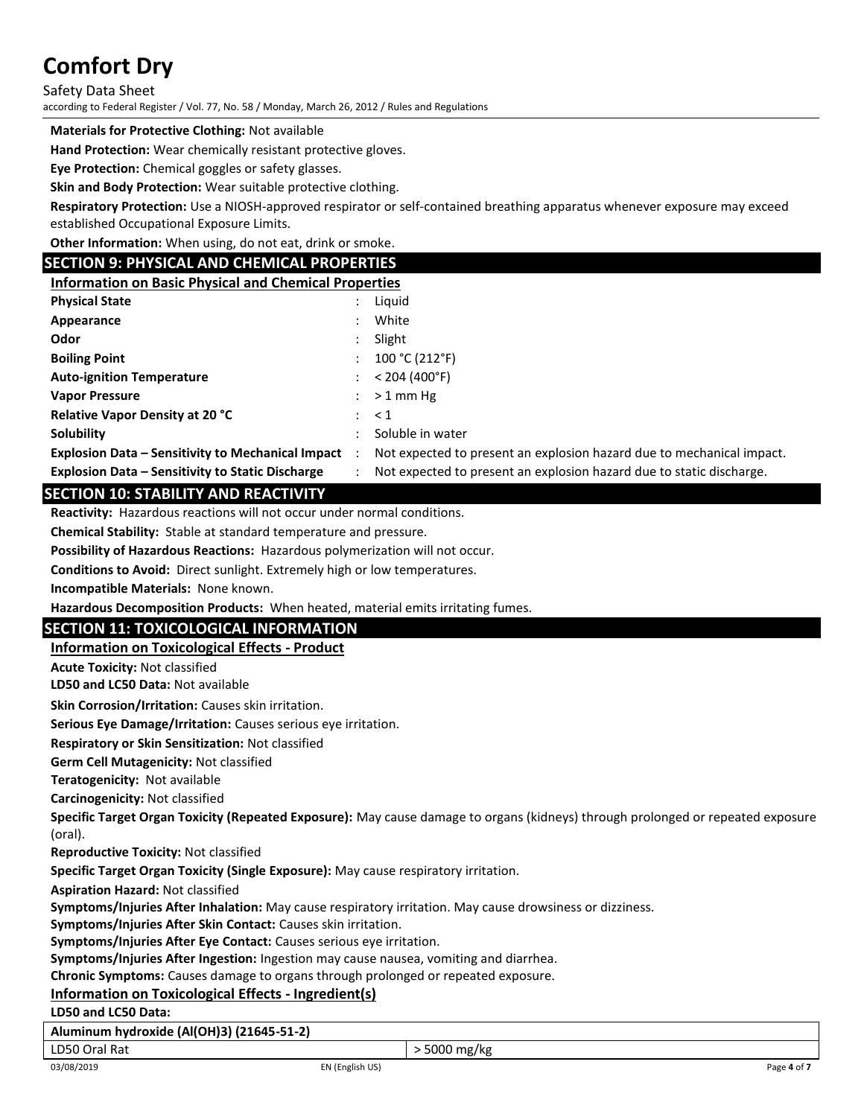Safety Data Sheet

according to Federal Register / Vol. 77, No. 58 / Monday, March 26, 2012 / Rules and Regulations

#### **Materials for Protective Clothing:** Not available

**Hand Protection:** Wear chemically resistant protective gloves.

**Eye Protection:** Chemical goggles or safety glasses.

**Skin and Body Protection:** Wear suitable protective clothing.

**Respiratory Protection:** Use a NIOSH-approved respirator or self-contained breathing apparatus whenever exposure may exceed established Occupational Exposure Limits.

**Other Information:** When using, do not eat, drink or smoke.

### **SECTION 9: PHYSICAL AND CHEMICAL PROPERTIES**

| <b>Information on Basic Physical and Chemical Properties</b> |
|--------------------------------------------------------------|
|--------------------------------------------------------------|

| <b>Physical State</b>                                    | Liguid                                                                |
|----------------------------------------------------------|-----------------------------------------------------------------------|
| Appearance                                               | White                                                                 |
| Odor                                                     | Slight                                                                |
| <b>Boiling Point</b>                                     | 100 °C (212 °F)                                                       |
| <b>Auto-ignition Temperature</b>                         | < 204 (400°F)                                                         |
| <b>Vapor Pressure</b>                                    | $>1$ mm Hg                                                            |
| <b>Relative Vapor Density at 20 °C</b>                   | $\leq 1$                                                              |
| Solubility                                               | Soluble in water                                                      |
| <b>Explosion Data - Sensitivity to Mechanical Impact</b> | Not expected to present an explosion hazard due to mechanical impact. |
| <b>Explosion Data - Sensitivity to Static Discharge</b>  | Not expected to present an explosion hazard due to static discharge.  |

### **SECTION 10: STABILITY AND REACTIVITY**

**Reactivity:** Hazardous reactions will not occur under normal conditions.

**Chemical Stability:** Stable at standard temperature and pressure.

**Possibility of Hazardous Reactions:** Hazardous polymerization will not occur.

**Conditions to Avoid:** Direct sunlight. Extremely high or low temperatures.

**Incompatible Materials:** None known.

**Hazardous Decomposition Products:** When heated, material emits irritating fumes.

# **SECTION 11: TOXICOLOGICAL INFORMATION**

#### **Information on Toxicological Effects - Product**

**Acute Toxicity:** Not classified

**LD50 and LC50 Data:** Not available

**Skin Corrosion/Irritation:** Causes skin irritation.

**Serious Eye Damage/Irritation:** Causes serious eye irritation.

**Respiratory or Skin Sensitization:** Not classified

**Germ Cell Mutagenicity:** Not classified

**Teratogenicity:** Not available

**Carcinogenicity:** Not classified

**Specific Target Organ Toxicity (Repeated Exposure):** May cause damage to organs (kidneys) through prolonged or repeated exposure (oral).

**Reproductive Toxicity:** Not classified

**Specific Target Organ Toxicity (Single Exposure):** May cause respiratory irritation.

**Aspiration Hazard:** Not classified

**Symptoms/Injuries After Inhalation:** May cause respiratory irritation. May cause drowsiness or dizziness.

**Symptoms/Injuries After Skin Contact:** Causes skin irritation.

**Symptoms/Injuries After Eye Contact:** Causes serious eye irritation.

**Symptoms/Injuries After Ingestion:** Ingestion may cause nausea, vomiting and diarrhea.

**Chronic Symptoms:** Causes damage to organs through prolonged or repeated exposure.

#### **Information on Toxicological Effects - Ingredient(s)**

**LD50 and LC50 Data:**

**Aluminum hydroxide (Al(OH)3) (21645-51-2)**

LD50 Oral Rat  $\vert$  > 5000 mg/kg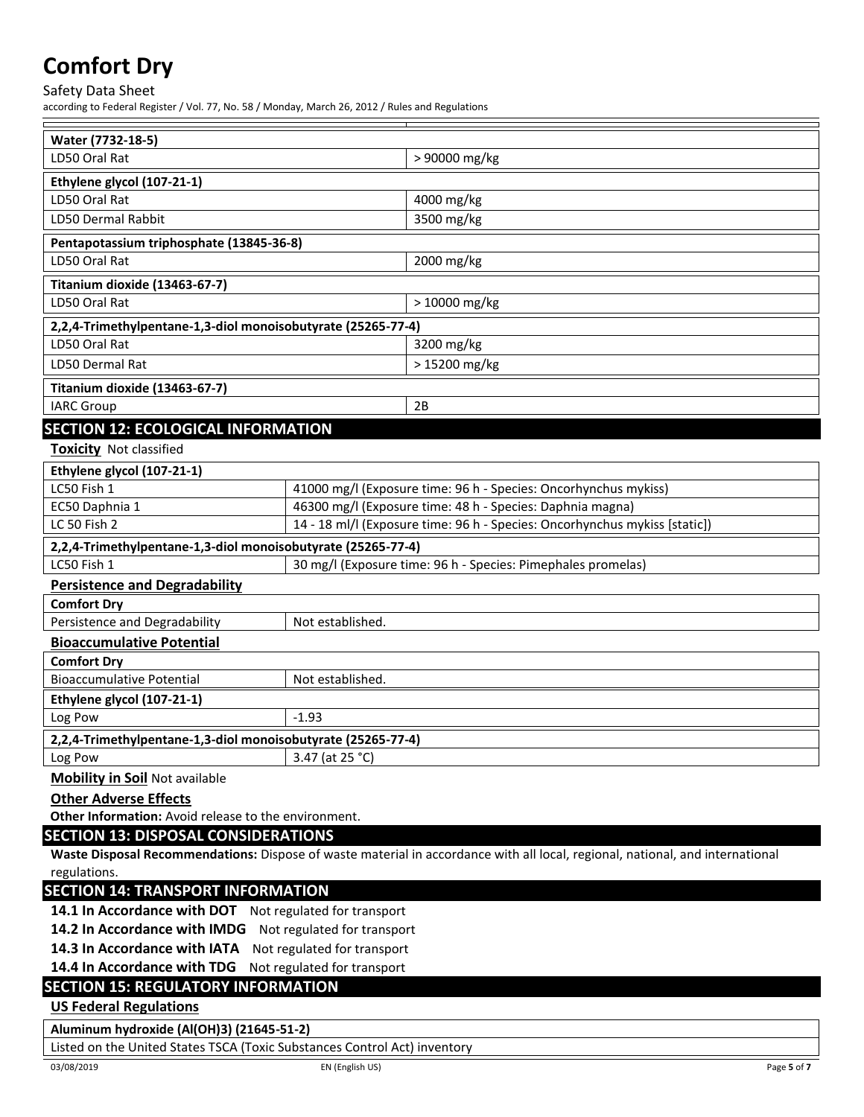Safety Data Sheet

according to Federal Register / Vol. 77, No. 58 / Monday, March 26, 2012 / Rules and Regulations

| Water (7732-18-5)                                                                                                             |                             |                                                                 |  |  |
|-------------------------------------------------------------------------------------------------------------------------------|-----------------------------|-----------------------------------------------------------------|--|--|
| LD50 Oral Rat                                                                                                                 |                             | > 90000 mg/kg                                                   |  |  |
| Ethylene glycol (107-21-1)                                                                                                    |                             |                                                                 |  |  |
| LD50 Oral Rat                                                                                                                 |                             | 4000 mg/kg                                                      |  |  |
| LD50 Dermal Rabbit                                                                                                            |                             | 3500 mg/kg                                                      |  |  |
| Pentapotassium triphosphate (13845-36-8)                                                                                      |                             |                                                                 |  |  |
| LD50 Oral Rat                                                                                                                 |                             | 2000 mg/kg                                                      |  |  |
| Titanium dioxide (13463-67-7)                                                                                                 |                             |                                                                 |  |  |
| LD50 Oral Rat                                                                                                                 |                             | > 10000 mg/kg                                                   |  |  |
| 2,2,4-Trimethylpentane-1,3-diol monoisobutyrate (25265-77-4)                                                                  |                             |                                                                 |  |  |
| LD50 Oral Rat                                                                                                                 |                             | 3200 mg/kg                                                      |  |  |
| LD50 Dermal Rat                                                                                                               |                             | > 15200 mg/kg                                                   |  |  |
| Titanium dioxide (13463-67-7)                                                                                                 |                             |                                                                 |  |  |
| <b>IARC Group</b>                                                                                                             |                             | 2B                                                              |  |  |
| <b>SECTION 12: ECOLOGICAL INFORMATION</b>                                                                                     |                             |                                                                 |  |  |
| <b>Toxicity Not classified</b>                                                                                                |                             |                                                                 |  |  |
| Ethylene glycol (107-21-1)                                                                                                    |                             |                                                                 |  |  |
| LC50 Fish 1                                                                                                                   |                             | 41000 mg/l (Exposure time: 96 h - Species: Oncorhynchus mykiss) |  |  |
| EC50 Daphnia 1                                                                                                                |                             | 46300 mg/l (Exposure time: 48 h - Species: Daphnia magna)       |  |  |
| LC 50 Fish 2<br>14 - 18 ml/l (Exposure time: 96 h - Species: Oncorhynchus mykiss [static])                                    |                             |                                                                 |  |  |
| 2,2,4-Trimethylpentane-1,3-diol monoisobutyrate (25265-77-4)                                                                  |                             |                                                                 |  |  |
| LC50 Fish 1                                                                                                                   |                             | 30 mg/l (Exposure time: 96 h - Species: Pimephales promelas)    |  |  |
| <b>Persistence and Degradability</b>                                                                                          |                             |                                                                 |  |  |
| <b>Comfort Dry</b>                                                                                                            |                             |                                                                 |  |  |
| Persistence and Degradability                                                                                                 | Not established.            |                                                                 |  |  |
| <b>Bioaccumulative Potential</b>                                                                                              |                             |                                                                 |  |  |
| <b>Comfort Dry</b>                                                                                                            |                             |                                                                 |  |  |
| <b>Bioaccumulative Potential</b>                                                                                              | Not established.            |                                                                 |  |  |
| Ethylene glycol (107-21-1)                                                                                                    |                             |                                                                 |  |  |
| Log Pow                                                                                                                       | $-1.93$                     |                                                                 |  |  |
| 2,2,4-Trimethylpentane-1,3-diol monoisobutyrate (25265-77-4)                                                                  |                             |                                                                 |  |  |
| Log Pow                                                                                                                       | $\frac{1}{3.47}$ (at 25 °C) |                                                                 |  |  |
| <b>Mobility in Soil Not available</b>                                                                                         |                             |                                                                 |  |  |
| <b>Other Adverse Effects</b>                                                                                                  |                             |                                                                 |  |  |
| Other Information: Avoid release to the environment.                                                                          |                             |                                                                 |  |  |
| <b>SECTION 13: DISPOSAL CONSIDERATIONS</b>                                                                                    |                             |                                                                 |  |  |
| Waste Disposal Recommendations: Dispose of waste material in accordance with all local, regional, national, and international |                             |                                                                 |  |  |
| regulations.                                                                                                                  |                             |                                                                 |  |  |
| <b>SECTION 14: TRANSPORT INFORMATION</b>                                                                                      |                             |                                                                 |  |  |
| 14.1 In Accordance with DOT Not regulated for transport                                                                       |                             |                                                                 |  |  |
| 14.2 In Accordance with IMDG Not regulated for transport                                                                      |                             |                                                                 |  |  |
| 14.3 In Accordance with IATA Not regulated for transport                                                                      |                             |                                                                 |  |  |
| 14.4 In Accordance with TDG Not regulated for transport                                                                       |                             |                                                                 |  |  |
| <b>SECTION 15: REGULATORY INFORMATION</b><br><b>US Federal Regulations</b>                                                    |                             |                                                                 |  |  |
|                                                                                                                               |                             |                                                                 |  |  |
| Aluminum hydroxide (Al(OH)3) (21645-51-2)                                                                                     |                             |                                                                 |  |  |
| Listed on the United States TSCA (Toxic Substances Control Act) inventory                                                     |                             |                                                                 |  |  |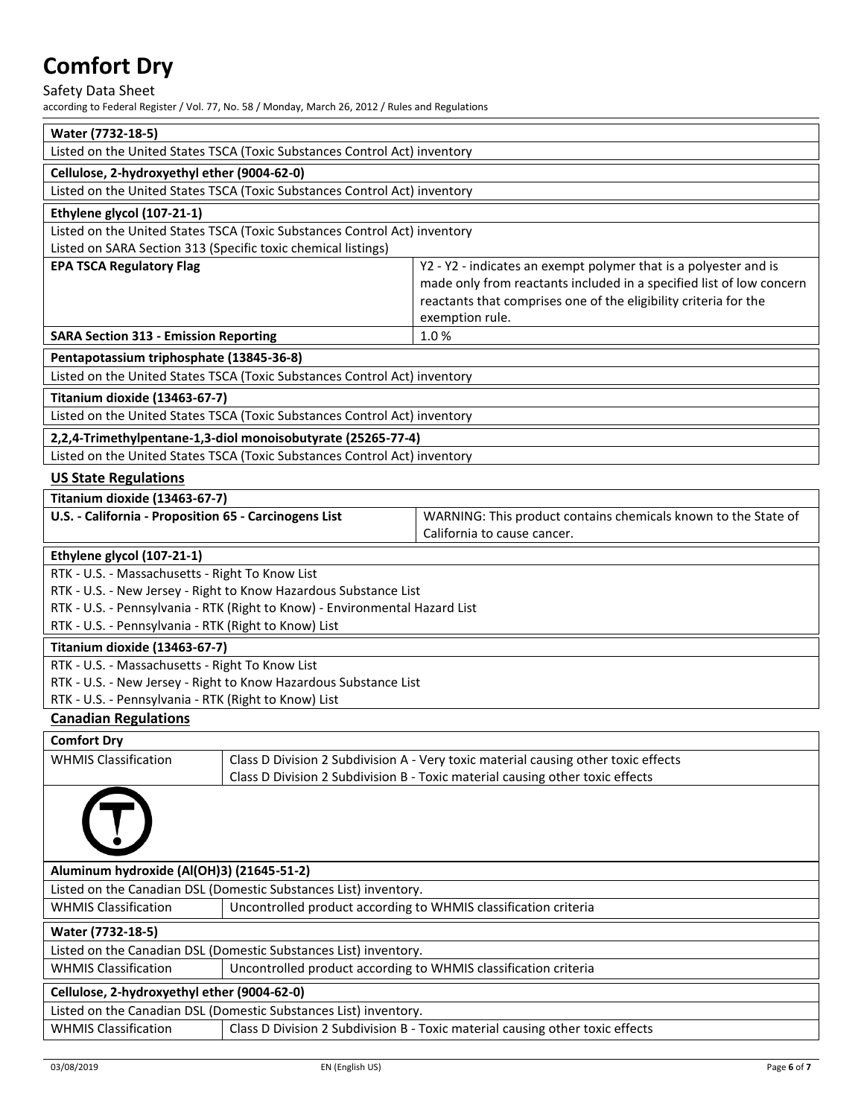Safety Data Sheet

according to Federal Register / Vol. 77, No. 58 / Monday, March 26, 2012 / Rules and Regulations

| Water (7732-18-5)                                                                              |                                                                             |                                                                                                                                          |  |  |
|------------------------------------------------------------------------------------------------|-----------------------------------------------------------------------------|------------------------------------------------------------------------------------------------------------------------------------------|--|--|
|                                                                                                | Listed on the United States TSCA (Toxic Substances Control Act) inventory   |                                                                                                                                          |  |  |
| Cellulose, 2-hydroxyethyl ether (9004-62-0)                                                    |                                                                             |                                                                                                                                          |  |  |
|                                                                                                | Listed on the United States TSCA (Toxic Substances Control Act) inventory   |                                                                                                                                          |  |  |
| Ethylene glycol (107-21-1)                                                                     |                                                                             |                                                                                                                                          |  |  |
|                                                                                                | Listed on the United States TSCA (Toxic Substances Control Act) inventory   |                                                                                                                                          |  |  |
| Listed on SARA Section 313 (Specific toxic chemical listings)                                  |                                                                             |                                                                                                                                          |  |  |
| <b>EPA TSCA Regulatory Flag</b>                                                                |                                                                             | Y2 - Y2 - indicates an exempt polymer that is a polyester and is                                                                         |  |  |
|                                                                                                |                                                                             | made only from reactants included in a specified list of low concern<br>reactants that comprises one of the eligibility criteria for the |  |  |
|                                                                                                |                                                                             | exemption rule.                                                                                                                          |  |  |
| <b>SARA Section 313 - Emission Reporting</b>                                                   |                                                                             | 1.0%                                                                                                                                     |  |  |
| Pentapotassium triphosphate (13845-36-8)                                                       |                                                                             |                                                                                                                                          |  |  |
|                                                                                                | Listed on the United States TSCA (Toxic Substances Control Act) inventory   |                                                                                                                                          |  |  |
| Titanium dioxide (13463-67-7)                                                                  |                                                                             |                                                                                                                                          |  |  |
|                                                                                                | Listed on the United States TSCA (Toxic Substances Control Act) inventory   |                                                                                                                                          |  |  |
|                                                                                                |                                                                             |                                                                                                                                          |  |  |
|                                                                                                | 2,2,4-Trimethylpentane-1,3-diol monoisobutyrate (25265-77-4)                |                                                                                                                                          |  |  |
|                                                                                                | Listed on the United States TSCA (Toxic Substances Control Act) inventory   |                                                                                                                                          |  |  |
| <b>US State Regulations</b>                                                                    |                                                                             |                                                                                                                                          |  |  |
| Titanium dioxide (13463-67-7)                                                                  |                                                                             |                                                                                                                                          |  |  |
| U.S. - California - Proposition 65 - Carcinogens List                                          |                                                                             | WARNING: This product contains chemicals known to the State of<br>California to cause cancer.                                            |  |  |
|                                                                                                |                                                                             |                                                                                                                                          |  |  |
| Ethylene glycol (107-21-1)                                                                     |                                                                             |                                                                                                                                          |  |  |
| RTK - U.S. - Massachusetts - Right To Know List                                                | RTK - U.S. - New Jersey - Right to Know Hazardous Substance List            |                                                                                                                                          |  |  |
|                                                                                                | RTK - U.S. - Pennsylvania - RTK (Right to Know) - Environmental Hazard List |                                                                                                                                          |  |  |
| RTK - U.S. - Pennsylvania - RTK (Right to Know) List                                           |                                                                             |                                                                                                                                          |  |  |
| Titanium dioxide (13463-67-7)                                                                  |                                                                             |                                                                                                                                          |  |  |
| RTK - U.S. - Massachusetts - Right To Know List                                                |                                                                             |                                                                                                                                          |  |  |
|                                                                                                | RTK - U.S. - New Jersey - Right to Know Hazardous Substance List            |                                                                                                                                          |  |  |
| RTK - U.S. - Pennsylvania - RTK (Right to Know) List                                           |                                                                             |                                                                                                                                          |  |  |
| <b>Canadian Regulations</b>                                                                    |                                                                             |                                                                                                                                          |  |  |
| <b>Comfort Dry</b>                                                                             |                                                                             |                                                                                                                                          |  |  |
| <b>WHMIS Classification</b>                                                                    |                                                                             | Class D Division 2 Subdivision A - Very toxic material causing other toxic effects                                                       |  |  |
|                                                                                                |                                                                             | Class D Division 2 Subdivision B - Toxic material causing other toxic effects                                                            |  |  |
|                                                                                                |                                                                             |                                                                                                                                          |  |  |
|                                                                                                |                                                                             |                                                                                                                                          |  |  |
|                                                                                                |                                                                             |                                                                                                                                          |  |  |
|                                                                                                |                                                                             |                                                                                                                                          |  |  |
| Aluminum hydroxide (Al(OH)3) (21645-51-2)                                                      |                                                                             |                                                                                                                                          |  |  |
| Listed on the Canadian DSL (Domestic Substances List) inventory.                               |                                                                             |                                                                                                                                          |  |  |
| Uncontrolled product according to WHMIS classification criteria<br><b>WHMIS Classification</b> |                                                                             |                                                                                                                                          |  |  |
| Water (7732-18-5)                                                                              |                                                                             |                                                                                                                                          |  |  |
| Listed on the Canadian DSL (Domestic Substances List) inventory.                               |                                                                             |                                                                                                                                          |  |  |
| Uncontrolled product according to WHMIS classification criteria<br><b>WHMIS Classification</b> |                                                                             |                                                                                                                                          |  |  |
| Cellulose, 2-hydroxyethyl ether (9004-62-0)                                                    |                                                                             |                                                                                                                                          |  |  |
|                                                                                                | Listed on the Canadian DSL (Domestic Substances List) inventory.            |                                                                                                                                          |  |  |
| <b>WHMIS Classification</b>                                                                    |                                                                             | Class D Division 2 Subdivision B - Toxic material causing other toxic effects                                                            |  |  |
|                                                                                                |                                                                             |                                                                                                                                          |  |  |